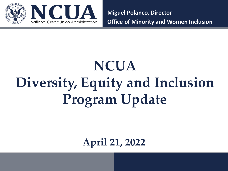

**Miguel Polanco, Director Office of Minority and Women Inclusion**

# **NCUA Diversity, Equity and Inclusion Program Update**

**April 21, 2022**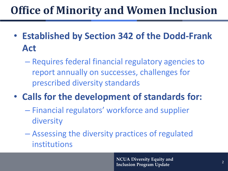#### **Office of Minority and Women Inclusion**

- **Established by Section 342 of the Dodd-Frank Act**
	- Requires federal financial regulatory agencies to report annually on successes, challenges for prescribed diversity standards
- **Calls for the development of standards for:**
	- Financial regulators' workforce and supplier diversity
	- Assessing the diversity practices of regulated institutions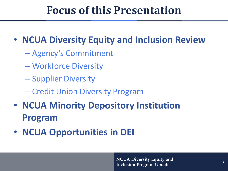#### **Focus of this Presentation**

#### • **NCUA Diversity Equity and Inclusion Review**

- Agency's Commitment
- Workforce Diversity
- Supplier Diversity
- Credit Union Diversity Program
- **NCUA Minority Depository Institution Program**
- **NCUA Opportunities in DEI**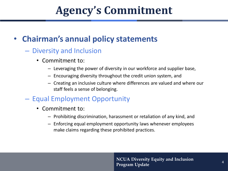#### **Agency's Commitment**

#### • **Chairman's annual policy statements**

- Diversity and Inclusion
	- Commitment to:
		- Leveraging the power of diversity in our workforce and supplier base,
		- Encouraging diversity throughout the credit union system, and
		- Creating an inclusive culture where differences are valued and where our staff feels a sense of belonging.
- Equal Employment Opportunity
	- Commitment to:
		- Prohibiting discrimination, harassment or retaliation of any kind, and
		- Enforcing equal employment opportunity laws whenever employees make claims regarding these prohibited practices.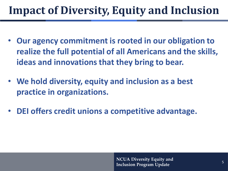#### **Impact of Diversity, Equity and Inclusion**

- **Our agency commitment is rooted in our obligation to realize the full potential of all Americans and the skills, ideas and innovations that they bring to bear.**
- **We hold diversity, equity and inclusion as a best practice in organizations.**
- **DEI offers credit unions a competitive advantage.**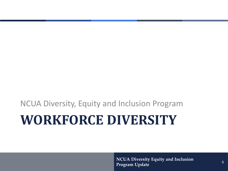# **WORKFORCE DIVERSITY** NCUA Diversity, Equity and Inclusion Program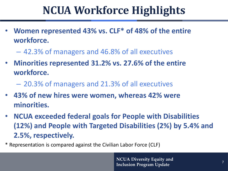#### **NCUA Workforce Highlights**

- **Women represented 43% vs. CLF\* of 48% of the entire workforce.**
	- 42.3% of managers and 46.8% of all executives
- **Minorities represented 31.2% vs. 27.6% of the entire workforce.**
	- 20.3% of managers and 21.3% of all executives
- **43% of new hires were women, whereas 42% were minorities.**
- **NCUA exceeded federal goals for People with Disabilities (12%) and People with Targeted Disabilities (2%) by 5.4% and 2.5%, respectively.**
- \* Representation is compared against the Civilian Labor Force (CLF)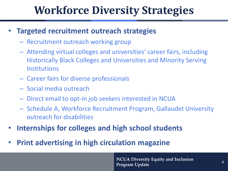#### **Workforce Diversity Strategies**

#### • **Targeted recruitment outreach strategies**

- Recruitment outreach working group
- Attending virtual colleges and universities' career fairs, including Historically Black Colleges and Universities and Minority Serving **Institutions**
- Career fairs for diverse professionals
- Social media outreach
- Direct email to opt-in job seekers interested in NCUA
- Schedule A, Workforce Recruitment Program, Gallaudet University outreach for disabilities
- **Internships for colleges and high school students**
- **Print advertising in high circulation magazine**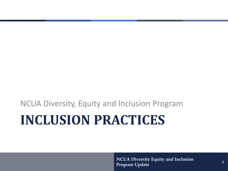# **INCLUSION PRACTICES** NCUA Diversity, Equity and Inclusion Program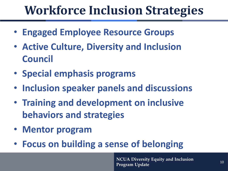## **Workforce Inclusion Strategies**

- **Engaged Employee Resource Groups**
- **Active Culture, Diversity and Inclusion Council**
- **Special emphasis programs**
- **Inclusion speaker panels and discussions**
- **Training and development on inclusive behaviors and strategies**
- **Mentor program**
- **Focus on building a sense of belonging**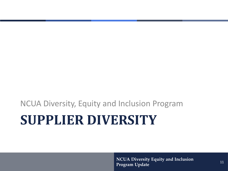# **SUPPLIER DIVERSITY** NCUA Diversity, Equity and Inclusion Program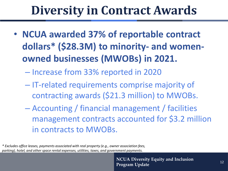## **Diversity in Contract Awards**

• **NCUA awarded 37% of reportable contract dollars\* (\$28.3M) to minority- and womenowned businesses (MWOBs) in 2021.**

– Increase from 33% reported in 2020

- IT-related requirements comprise majority of contracting awards (\$21.3 million) to MWOBs.
- Accounting / financial management / facilities management contracts accounted for \$3.2 million in contracts to MWOBs.

*\* Excludes office leases, payments associated with real property (e.g., owner association fees, parking), hotel, and other space rental expenses, utilities, taxes, and government payments.*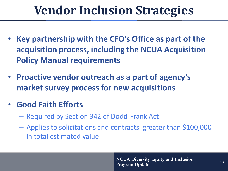## **Vendor Inclusion Strategies**

- **Key partnership with the CFO's Office as part of the acquisition process, including the NCUA Acquisition Policy Manual requirements**
- **Proactive vendor outreach as a part of agency's market survey process for new acquisitions**
- **Good Faith Efforts**
	- Required by Section 342 of Dodd-Frank Act
	- Applies to solicitations and contracts greater than \$100,000 in total estimated value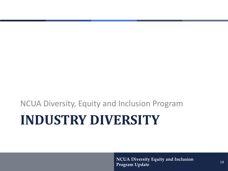# **INDUSTRY DIVERSITY** NCUA Diversity, Equity and Inclusion Program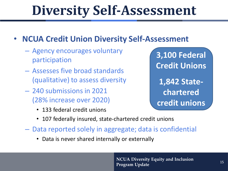# **Diversity Self-Assessment**

#### • **NCUA Credit Union Diversity Self-Assessment**

- Agency encourages voluntary participation
- Assesses five broad standards (qualitative) to assess diversity
- 240 submissions in 2021 (28% increase over 2020)
	- 133 federal credit unions

**3,100 Federal Credit Unions 1,842 Statechartered credit unions**

- 107 federally insured, state-chartered credit unions
- Data reported solely in aggregate; data is confidential
	- Data is never shared internally or externally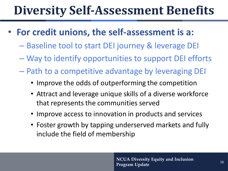## **Diversity Self-Assessment Benefits**

- **For credit unions, the self-assessment is a:**
	- Baseline tool to start DEI journey & leverage DEI
	- Way to identify opportunities to support DEI efforts
	- Path to a competitive advantage by leveraging DEI
		- Improve the odds of outperforming the competition
		- Attract and leverage unique skills of a diverse workforce that represents the communities served
		- Improve access to innovation in products and services
		- Foster growth by tapping underserved markets and fully include the field of membership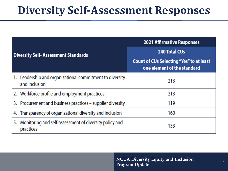#### **Diversity Self-Assessment Responses**

| <b>Diversity Self-Assessment Standards</b> |                                                                           | <b>2021 Affirmative Responses</b>                                              |
|--------------------------------------------|---------------------------------------------------------------------------|--------------------------------------------------------------------------------|
|                                            |                                                                           | <b>240 Total CUs</b>                                                           |
|                                            |                                                                           | <b>Count of CUs Selecting "Yes" to at least</b><br>one element of the standard |
|                                            | 1. Leadership and organizational commitment to diversity<br>and inclusion | 213                                                                            |
|                                            | 2. Workforce profile and employment practices                             | 213                                                                            |
|                                            | 3. Procurement and business practices - supplier diversity                | 119                                                                            |
|                                            | 4. Transparency of organizational diversity and inclusion                 | 160                                                                            |
| 5.                                         | Monitoring and self-assessment of diversity policy and<br>practices       | 133                                                                            |

**NCUA Diversity Equity and Inclusion**  Program Update 11 and the accuracy 17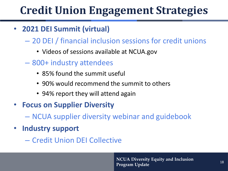## **Credit Union Engagement Strategies**

- **2021 DEI Summit (virtual)**
	- 20 DEI / financial inclusion sessions for credit unions
		- Videos of sessions available at NCUA.gov
	- 800+ industry attendees
		- 85% found the summit useful
		- 90% would recommend the summit to others
		- 94% report they will attend again
- **Focus on Supplier Diversity**
	- NCUA supplier diversity webinar and guidebook
- **Industry support**
	- Credit Union DEI Collective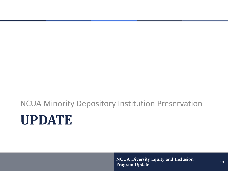# **UPDATE** NCUA Minority Depository Institution Preservation

**NCUA Diversity Equity and Inclusion**  Program Update 19<br>Program Update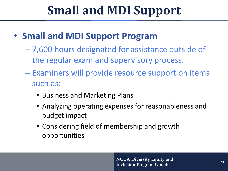# **Small and MDI Support**

- **Small and MDI Support Program**
	- 7,600 hours designated for assistance outside of the regular exam and supervisory process.
	- Examiners will provide resource support on items such as:
		- Business and Marketing Plans
		- Analyzing operating expenses for reasonableness and budget impact
		- Considering field of membership and growth opportunities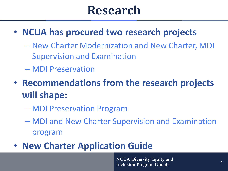## **Research**

- **NCUA has procured two research projects**
	- New Charter Modernization and New Charter, MDI Supervision and Examination
	- MDI Preservation
- **Recommendations from the research projects will shape:** 
	- MDI Preservation Program
	- MDI and New Charter Supervision and Examination program
- **New Charter Application Guide**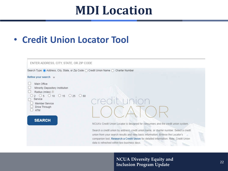#### **MDI Location**

#### • **Credit Union Locator Tool**

| ENTER ADDRESS, CITY, STATE, OR ZIP CODE                                                                                                                                     |                                                                                                                                                                                                                                                                                                                                                                                                                    |
|-----------------------------------------------------------------------------------------------------------------------------------------------------------------------------|--------------------------------------------------------------------------------------------------------------------------------------------------------------------------------------------------------------------------------------------------------------------------------------------------------------------------------------------------------------------------------------------------------------------|
| Search Type: ● Address, City, State, or Zip Code ○ Credit Union Name ○ Charter Number<br>Refine your search                                                                 |                                                                                                                                                                                                                                                                                                                                                                                                                    |
| Main Office<br>Minority Depository Institution<br>Radius (miles) 2<br>$05$ 0 10 0 15 0 25 0 60<br>Service<br>Member Service<br>Drive Through<br><b>ATM</b><br><b>SEARCH</b> | dit uni<br>NCUA's Credit Union Locator is designed for consumers and the credit union system.<br>Search a credit union by address, credit union name, or charter number. Select a credit<br>union from your search results and view basic information. Browse the Locator's<br>companion tool, Research a Credit Union for detailed information. Note: Credit Union<br>data is refreshed within two business days. |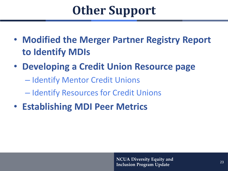# **Other Support**

- **Modified the Merger Partner Registry Report to Identify MDIs**
- **Developing a Credit Union Resource page** 
	- Identify Mentor Credit Unions
	- Identify Resources for Credit Unions
- **Establishing MDI Peer Metrics**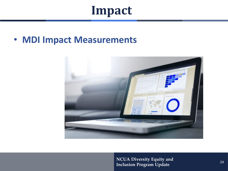#### **Impact**

#### • **MDI Impact Measurements**

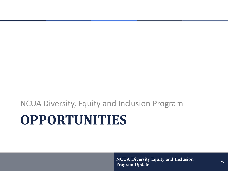NCUA Diversity, Equity and Inclusion Program

# **OPPORTUNITIES**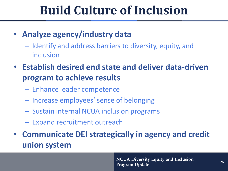## **Build Culture of Inclusion**

- **Analyze agency/industry data**
	- Identify and address barriers to diversity, equity, and inclusion
- **Establish desired end state and deliver data-driven program to achieve results**
	- Enhance leader competence
	- Increase employees' sense of belonging
	- Sustain internal NCUA inclusion programs
	- Expand recruitment outreach
- **Communicate DEI strategically in agency and credit union system**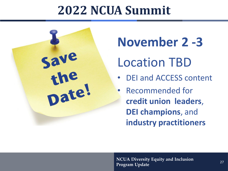## **2022 NCUA Summit**



**November 2 -3** Location TBD

• DEI and ACCESS content

• Recommended for **credit union leaders**, **DEI champions**, and **industry practitioners**